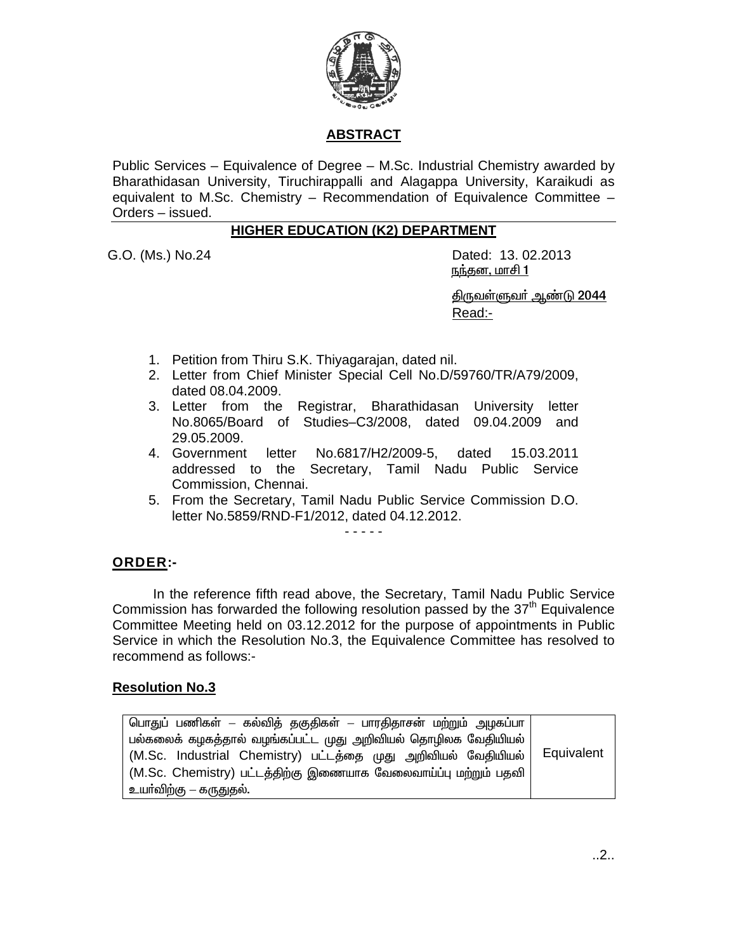

# **ABSTRACT**

Public Services - Equivalence of Degree - M.Sc. Industrial Chemistry awarded by Bharathidasan University, Tiruchirappalli and Alagappa University, Karaikudi as equivalent to M.Sc. Chemistry - Recommendation of Equivalence Committee -Orders - issued.

### **HIGHER EDUCATION (K2) DEPARTMENT**

G.O. (Ms.) No.24

Dated: 13, 02, 2013 <u> நந்தன, மாசி 1</u>

<u> திருவள்ளுவர் ஆண்டு 2044</u> Read:-

- 1. Petition from Thiru S.K. Thiyagarajan, dated nil.
- 2. Letter from Chief Minister Special Cell No.D/59760/TR/A79/2009, dated 08.04.2009.
- 3. Letter from the Registrar, Bharathidasan University letter No.8065/Board of Studies-C3/2008, dated 09.04.2009 and 29.05.2009.
- 4. Government No.6817/H2/2009-5. dated 15.03.2011 letter addressed to the Secretary, Tamil Nadu Public Service Commission, Chennai.
- 5. From the Secretary, Tamil Nadu Public Service Commission D.O. letter No.5859/RND-F1/2012, dated 04.12.2012.

 $\frac{1}{2}$  . <br> <br> <br> <br> <br> <br> <br> <br><br><br><br><br><br><br><br>

## **ORDER:-**

In the reference fifth read above, the Secretary, Tamil Nadu Public Service Commission has forwarded the following resolution passed by the  $37<sup>th</sup>$  Equivalence Committee Meeting held on 03.12.2012 for the purpose of appointments in Public Service in which the Resolution No.3, the Equivalence Committee has resolved to recommend as follows:-

#### **Resolution No.3**

| பொதுப் பணிகள் – கல்வித் தகுதிகள் – பாரதிதாசன் மற்றும் அழகப்பா   |            |
|-----------------------------------------------------------------|------------|
| பல்கலைக் கழகத்தால் வழங்கப்பட்ட முது அறிவியல் தொழிலக வேதியியல்   |            |
| (M.Sc. Industrial Chemistry) பட்டத்தை முது அறிவியல் வேதியியல்   | Equivalent |
| (M.Sc. Chemistry) பட்டத்திற்கு இணையாக வேலைவாய்ப்பு மற்றும் பதவி |            |
| உயா்விற்கு – கருதுதல்.                                          |            |